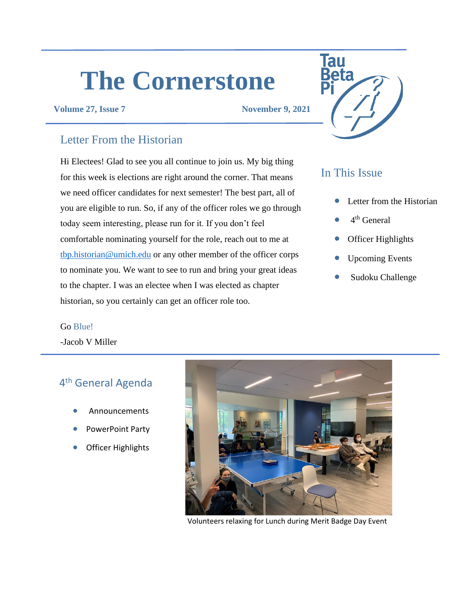# **The Cornerstone**

#### **Volume 27, Issue 7 November 9, 2021**

### Letter From the Historian

Hi Electees! Glad to see you all continue to join us. My big thing for this week is elections are right around the corner. That means we need officer candidates for next semester! The best part, all of you are eligible to run. So, if any of the officer roles we go through today seem interesting, please run for it. If you don't feel comfortable nominating yourself for the role, reach out to me at [tbp.historian@umich.edu](mailto:tbp.historian@umich.edu) or any other member of the officer corps to nominate you. We want to see to run and bring your great ideas to the chapter. I was an electee when I was elected as chapter historian, so you certainly can get an officer role too.

# Tau

## In This Issue

- Letter from the Historian
- $\bullet$  4<sup>th</sup> General
- Officer Highlights
- Upcoming Events
- Sudoku Challenge

#### Go Blue!

-Jacob V Miller

# 4<sup>th</sup> General Agenda

- Announcements
- PowerPoint Party
- Officer Highlights



Volunteers relaxing for Lunch during Merit Badge Day Event